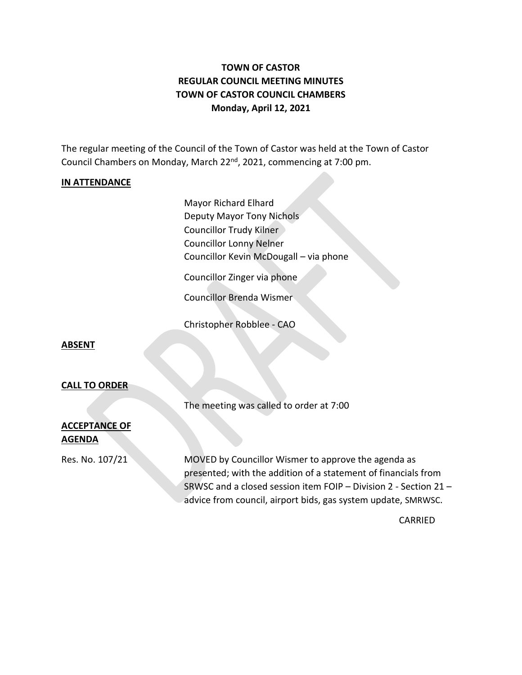# **TOWN OF CASTOR REGULAR COUNCIL MEETING MINUTES TOWN OF CASTOR COUNCIL CHAMBERS Monday, April 12, 2021**

The regular meeting of the Council of the Town of Castor was held at the Town of Castor Council Chambers on Monday, March 22<sup>nd</sup>, 2021, commencing at 7:00 pm.

### **IN ATTENDANCE**

Mayor Richard Elhard Deputy Mayor Tony Nichols Councillor Trudy Kilner Councillor Lonny Nelner Councillor Kevin McDougall – via phone

Councillor Zinger via phone

Councillor Brenda Wismer

Christopher Robblee - CAO

#### **ABSENT**

### **CALL TO ORDER**

The meeting was called to order at 7:00

### **ACCEPTANCE OF AGENDA**

Res. No. 107/21 MOVED by Councillor Wismer to approve the agenda as presented; with the addition of a statement of financials from SRWSC and a closed session item FOIP – Division 2 - Section 21 – advice from council, airport bids, gas system update, SMRWSC.

CARRIED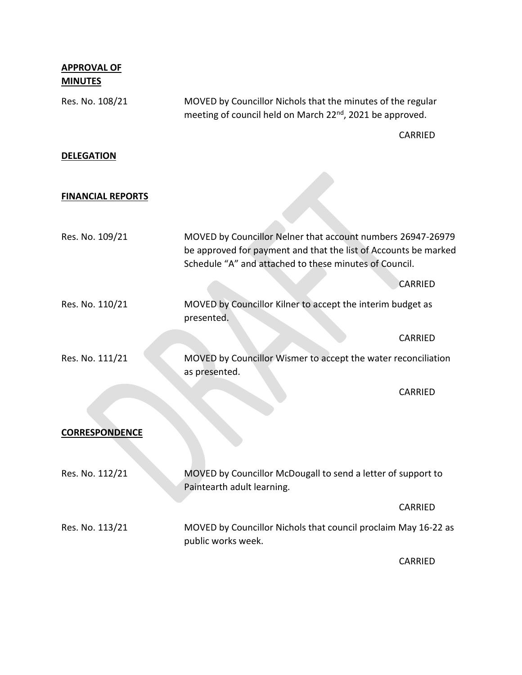| <b>APPROVAL OF</b><br><b>MINUTES</b> |                                                                                                                                                                                          |                |
|--------------------------------------|------------------------------------------------------------------------------------------------------------------------------------------------------------------------------------------|----------------|
| Res. No. 108/21                      | MOVED by Councillor Nichols that the minutes of the regular<br>meeting of council held on March 22 <sup>nd</sup> , 2021 be approved.                                                     |                |
|                                      |                                                                                                                                                                                          | CARRIED        |
| <b>DELEGATION</b>                    |                                                                                                                                                                                          |                |
|                                      |                                                                                                                                                                                          |                |
| <b>FINANCIAL REPORTS</b>             |                                                                                                                                                                                          |                |
|                                      |                                                                                                                                                                                          |                |
| Res. No. 109/21                      | MOVED by Councillor Nelner that account numbers 26947-26979<br>be approved for payment and that the list of Accounts be marked<br>Schedule "A" and attached to these minutes of Council. |                |
|                                      |                                                                                                                                                                                          | <b>CARRIED</b> |
| Res. No. 110/21                      | MOVED by Councillor Kilner to accept the interim budget as<br>presented.                                                                                                                 |                |
|                                      |                                                                                                                                                                                          | <b>CARRIED</b> |
| Res. No. 111/21                      | MOVED by Councillor Wismer to accept the water reconciliation<br>as presented.                                                                                                           |                |
|                                      |                                                                                                                                                                                          | <b>CARRIED</b> |
|                                      |                                                                                                                                                                                          |                |
| <b>CORRESPONDENCE</b>                |                                                                                                                                                                                          |                |
| Res. No. 112/21                      | MOVED by Councillor McDougall to send a letter of support to<br>Paintearth adult learning.                                                                                               |                |
|                                      |                                                                                                                                                                                          | CARRIED        |
| Res. No. 113/21                      | MOVED by Councillor Nichols that council proclaim May 16-22 as<br>public works week.                                                                                                     |                |
|                                      |                                                                                                                                                                                          | CARRIED        |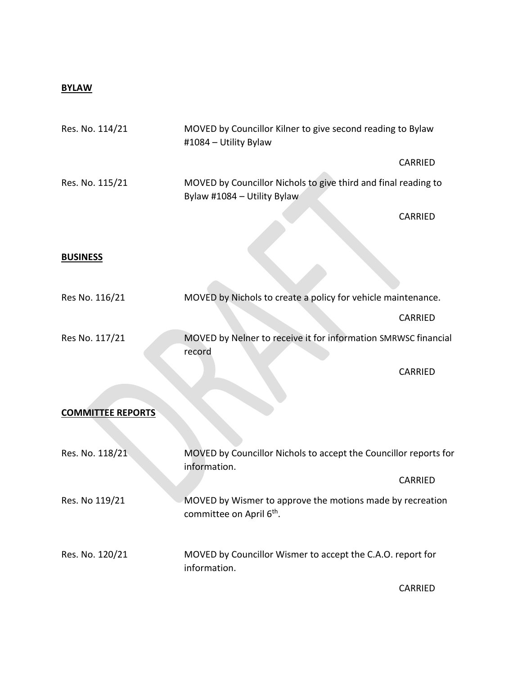## **BYLAW**

| Res. No. 114/21          | MOVED by Councillor Kilner to give second reading to Bylaw<br>#1084 - Utility Bylaw               |                |
|--------------------------|---------------------------------------------------------------------------------------------------|----------------|
|                          |                                                                                                   | CARRIED        |
| Res. No. 115/21          | MOVED by Councillor Nichols to give third and final reading to<br>Bylaw #1084 - Utility Bylaw     |                |
|                          |                                                                                                   | CARRIED        |
|                          |                                                                                                   |                |
| <b>BUSINESS</b>          |                                                                                                   |                |
| Res No. 116/21           | MOVED by Nichols to create a policy for vehicle maintenance.                                      |                |
|                          |                                                                                                   | CARRIED        |
| Res No. 117/21           | MOVED by Nelner to receive it for information SMRWSC financial<br>record                          |                |
|                          |                                                                                                   | CARRIED        |
| <b>COMMITTEE REPORTS</b> |                                                                                                   |                |
|                          |                                                                                                   |                |
| Res. No. 118/21          | MOVED by Councillor Nichols to accept the Councillor reports for<br>information.                  |                |
|                          |                                                                                                   | <b>CARRIED</b> |
| Res. No 119/21           | MOVED by Wismer to approve the motions made by recreation<br>committee on April 6 <sup>th</sup> . |                |
| Res. No. 120/21          | MOVED by Councillor Wismer to accept the C.A.O. report for<br>information.                        |                |
|                          |                                                                                                   | CARRIED        |